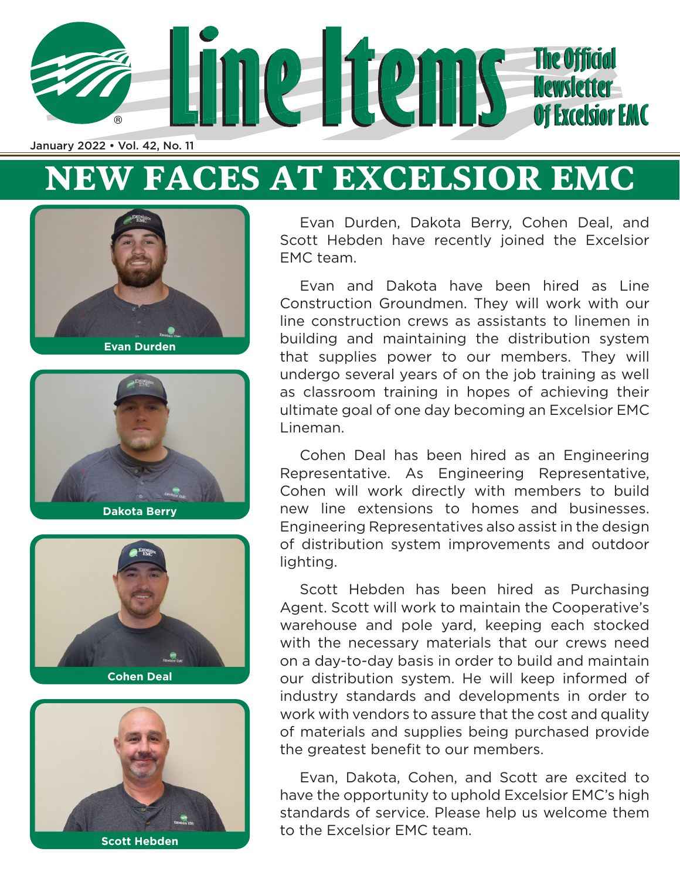

# **NEW FACES AT EXCELSIOR EMC**











Evan Durden, Dakota Berry, Cohen Deal, and Scott Hebden have recently joined the Excelsior EMC team.

Evan and Dakota have been hired as Line Construction Groundmen. They will work with our line construction crews as assistants to linemen in building and maintaining the distribution system that supplies power to our members. They will undergo several years of on the job training as well as classroom training in hopes of achieving their ultimate goal of one day becoming an Excelsior EMC Lineman.

Cohen Deal has been hired as an Engineering Representative. As Engineering Representative, Cohen will work directly with members to build new line extensions to homes and businesses. Engineering Representatives also assist in the design of distribution system improvements and outdoor lighting.

Scott Hebden has been hired as Purchasing Agent. Scott will work to maintain the Cooperative's warehouse and pole yard, keeping each stocked with the necessary materials that our crews need on a day-to-day basis in order to build and maintain our distribution system. He will keep informed of industry standards and developments in order to work with vendors to assure that the cost and quality of materials and supplies being purchased provide the greatest benefit to our members.

Evan, Dakota, Cohen, and Scott are excited to have the opportunity to uphold Excelsior EMC's high standards of service. Please help us welcome them to the Excelsior EMC team.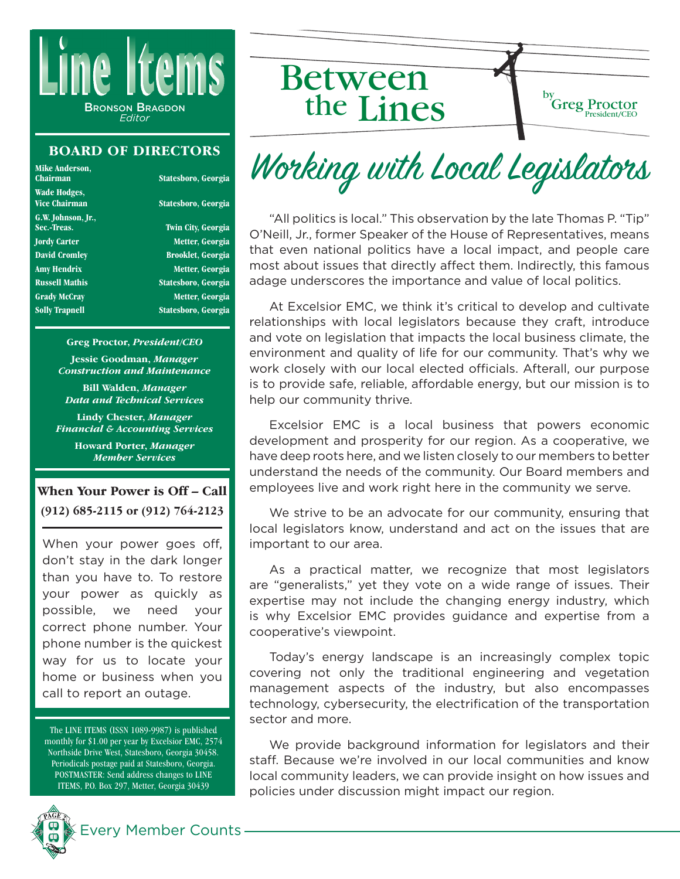

#### **BOARD OF DIRECTORS**

| Mike Anderson,<br>Chairman        | Statesboro, Georgia       |
|-----------------------------------|---------------------------|
| Wade Hodges,<br>Vice Chairman     | Statesboro, Georgia       |
| G.W. Johnson, Jr.,<br>Sec.-Treas. | <b>Twin City, Georgia</b> |
| <b>Jordy Carter</b>               | Metter, Georgia           |
| <b>David Cromley</b>              | <b>Brooklet, Georgia</b>  |
| <b>Amy Hendrix</b>                | Metter, Georgia           |
| <b>Russell Mathis</b>             | Statesboro, Georgia       |
| <b>Grady McCray</b>               | Metter, Georgia           |
| <b>Solly Trapnell</b>             | Statesboro, Georgia       |
|                                   |                           |

#### **Greg Proctor,** *President/CEO*

**Jessie Goodman,** *Manager Construction and Maintenance*

**Bill Walden,** *Manager Data and Technical Services*

**Lindy Chester,** *Manager Financial & Accounting Services*

> **Howard Porter,** *Manager Member Services*

#### **When Your Power is Off – Call (912) 685-2115 or (912) 764-2123**

When your power goes off, don't stay in the dark longer than you have to. To restore your power as quickly as possible, we need your correct phone number. Your phone number is the quickest way for us to locate your home or business when you call to report an outage.

The LINE ITEMS (ISSN 1089-9987) is published monthly for \$1.00 per year by Excelsior EMC, 2574 Northside Drive West, Statesboro, Georgia 30458. Periodicals postage paid at Statesboro, Georgia. POSTMASTER: Send address changes to LINE ITEMS, P.O. Box 297, Metter, Georgia 30439



Between the Lines



Working with Local Legislators

"All politics is local." This observation by the late Thomas P. "Tip" O'Neill, Jr., former Speaker of the House of Representatives, means that even national politics have a local impact, and people care most about issues that directly affect them. Indirectly, this famous adage underscores the importance and value of local politics.

At Excelsior EMC, we think it's critical to develop and cultivate relationships with local legislators because they craft, introduce and vote on legislation that impacts the local business climate, the environment and quality of life for our community. That's why we work closely with our local elected officials. Afterall, our purpose is to provide safe, reliable, affordable energy, but our mission is to help our community thrive.

Excelsior EMC is a local business that powers economic development and prosperity for our region. As a cooperative, we have deep roots here, and we listen closely to our members to better understand the needs of the community. Our Board members and employees live and work right here in the community we serve.

We strive to be an advocate for our community, ensuring that local legislators know, understand and act on the issues that are important to our area.

As a practical matter, we recognize that most legislators are "generalists," yet they vote on a wide range of issues. Their expertise may not include the changing energy industry, which is why Excelsior EMC provides guidance and expertise from a cooperative's viewpoint.

Today's energy landscape is an increasingly complex topic covering not only the traditional engineering and vegetation management aspects of the industry, but also encompasses technology, cybersecurity, the electrification of the transportation sector and more.

We provide background information for legislators and their staff. Because we're involved in our local communities and know local community leaders, we can provide insight on how issues and policies under discussion might impact our region.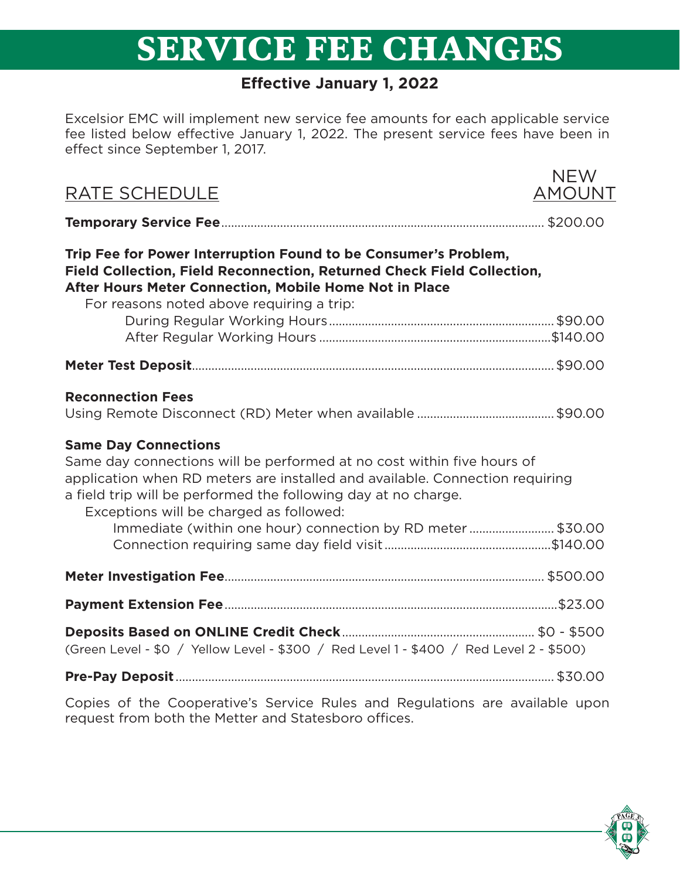# **SERVICE FEE CHANGES**

### **Effective January 1, 2022**

Excelsior EMC will implement new service fee amounts for each applicable service fee listed below effective January 1, 2022. The present service fees have been in effect since September 1, 2017.

| RATE SCHEDULE                                                                                                                                                                                                                                                                                      | <b>NEW</b><br>AMOUNT |
|----------------------------------------------------------------------------------------------------------------------------------------------------------------------------------------------------------------------------------------------------------------------------------------------------|----------------------|
|                                                                                                                                                                                                                                                                                                    |                      |
| Trip Fee for Power Interruption Found to be Consumer's Problem,<br>Field Collection, Field Reconnection, Returned Check Field Collection,<br>After Hours Meter Connection, Mobile Home Not in Place<br>For reasons noted above requiring a trip:                                                   |                      |
|                                                                                                                                                                                                                                                                                                    |                      |
|                                                                                                                                                                                                                                                                                                    |                      |
|                                                                                                                                                                                                                                                                                                    |                      |
| <b>Reconnection Fees</b>                                                                                                                                                                                                                                                                           |                      |
| <b>Same Day Connections</b><br>Same day connections will be performed at no cost within five hours of<br>application when RD meters are installed and available. Connection requiring<br>a field trip will be performed the following day at no charge.<br>Exceptions will be charged as followed: |                      |
| Immediate (within one hour) connection by RD meter \$30.00                                                                                                                                                                                                                                         |                      |
|                                                                                                                                                                                                                                                                                                    |                      |
|                                                                                                                                                                                                                                                                                                    |                      |
| (Green Level - \$0 / Yellow Level - \$300 / Red Level 1 - \$400 / Red Level 2 - \$500)                                                                                                                                                                                                             |                      |
|                                                                                                                                                                                                                                                                                                    |                      |
|                                                                                                                                                                                                                                                                                                    |                      |

Copies of the Cooperative's Service Rules and Regulations are available upon request from both the Metter and Statesboro offices.